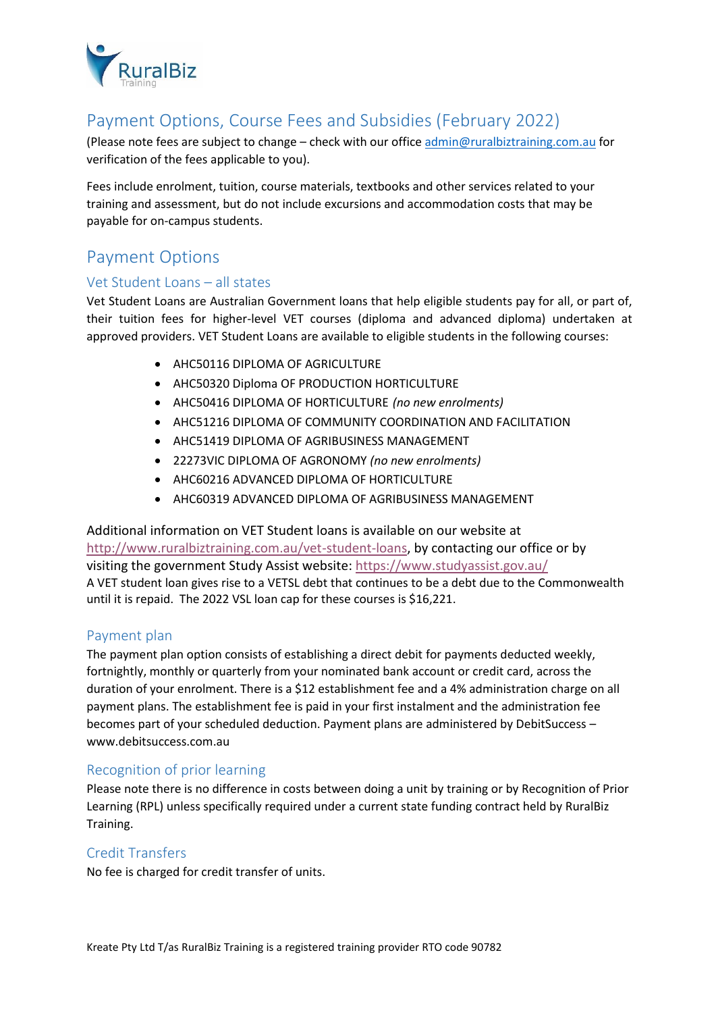

# Payment Options, Course Fees and Subsidies (February 2022)

(Please note fees are subject to change – check with our office [admin@ruralbiztraining.com.au](mailto:admin@ruralbiztraining.com.au) for verification of the fees applicable to you).

Fees include enrolment, tuition, course materials, textbooks and other services related to your training and assessment, but do not include excursions and accommodation costs that may be payable for on-campus students.

# Payment Options

### Vet Student Loans – all states

Vet Student Loans are Australian Government loans that help eligible students pay for all, or part of, their tuition fees for higher-level VET courses (diploma and advanced diploma) undertaken at approved providers. VET Student Loans are available to eligible students in the following courses:

- AHC50116 DIPLOMA OF AGRICULTURE
- AHC50320 Diploma OF PRODUCTION HORTICULTURE
- AHC50416 DIPLOMA OF HORTICULTURE *(no new enrolments)*
- AHC51216 DIPLOMA OF COMMUNITY COORDINATION AND FACILITATION
- AHC51419 DIPLOMA OF AGRIBUSINESS MANAGEMENT
- 22273VIC DIPLOMA OF AGRONOMY *(no new enrolments)*
- AHC60216 ADVANCED DIPLOMA OF HORTICULTURE
- AHC60319 ADVANCED DIPLOMA OF AGRIBUSINESS MANAGEMENT

Additional information on VET Student loans is available on our website at [http://www.ruralbiztraining.com.au/vet-student-loans,](http://www.ruralbiztraining.com.au/vet-student-loans) by contacting our office or by visiting the government Study Assist website:<https://www.studyassist.gov.au/> A VET student loan gives rise to a VETSL debt that continues to be a debt due to the Commonwealth until it is repaid. The 2022 VSL loan cap for these courses is \$16,221.

### Payment plan

The payment plan option consists of establishing a direct debit for payments deducted weekly, fortnightly, monthly or quarterly from your nominated bank account or credit card, across the duration of your enrolment. There is a \$12 establishment fee and a 4% administration charge on all payment plans. The establishment fee is paid in your first instalment and the administration fee becomes part of your scheduled deduction. Payment plans are administered by DebitSuccess – www.debitsuccess.com.au

### Recognition of prior learning

Please note there is no difference in costs between doing a unit by training or by Recognition of Prior Learning (RPL) unless specifically required under a current state funding contract held by RuralBiz Training.

### Credit Transfers

No fee is charged for credit transfer of units.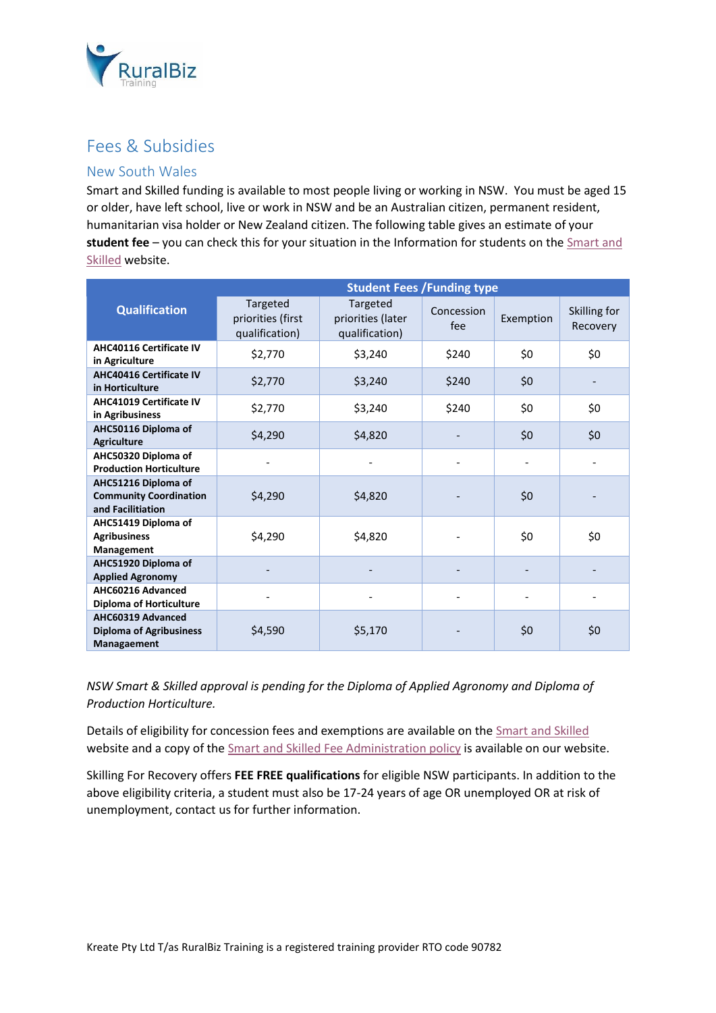

## Fees & Subsidies

### New South Wales

Smart and Skilled funding is available to most people living or working in NSW. You must be aged 15 or older, have left school, live or work in NSW and be an Australian citizen, permanent resident, humanitarian visa holder or New Zealand citizen. The following table gives an estimate of your **student fee** – you can check this for your situation in the Information for students on th[e Smart and](https://smartandskilled.nsw.gov.au/for-students)  [Skilled](https://smartandskilled.nsw.gov.au/for-students) website.

|                                                                           | <b>Student Fees / Funding type</b>              |                                                 |                   |           |                          |
|---------------------------------------------------------------------------|-------------------------------------------------|-------------------------------------------------|-------------------|-----------|--------------------------|
| <b>Qualification</b>                                                      | Targeted<br>priorities (first<br>qualification) | Targeted<br>priorities (later<br>qualification) | Concession<br>fee | Exemption | Skilling for<br>Recovery |
| <b>AHC40116 Certificate IV</b><br>in Agriculture                          | \$2,770                                         | \$240<br>\$3,240                                |                   | \$0       | \$0                      |
| <b>AHC40416 Certificate IV</b><br>in Horticulture                         | \$2,770                                         | \$3,240                                         | \$240             | \$0       |                          |
| <b>AHC41019 Certificate IV</b><br>in Agribusiness                         | \$2,770                                         | \$3,240                                         | \$240             | \$0       | \$0                      |
| AHC50116 Diploma of<br><b>Agriculture</b>                                 | \$4,290                                         | \$4,820                                         |                   | \$0       | \$0                      |
| AHC50320 Diploma of<br><b>Production Horticulture</b>                     |                                                 |                                                 |                   |           |                          |
| AHC51216 Diploma of<br><b>Community Coordination</b><br>and Facilitiation | \$4,290                                         | \$4,820                                         |                   | \$0       |                          |
| AHC51419 Diploma of<br><b>Agribusiness</b><br>Management                  | \$4,290                                         | \$4,820                                         |                   | \$0       | \$0                      |
| AHC51920 Diploma of<br><b>Applied Agronomy</b>                            |                                                 |                                                 |                   |           |                          |
| AHC60216 Advanced<br><b>Diploma of Horticulture</b>                       |                                                 |                                                 |                   |           |                          |
| AHC60319 Advanced<br><b>Diploma of Agribusiness</b><br>Managaement        | \$4,590                                         | \$5,170                                         |                   | \$0       | \$0                      |

*NSW Smart & Skilled approval is pending for the Diploma of Applied Agronomy and Diploma of Production Horticulture.* 

Details of eligibility for concession fees and exemptions are available on the [Smart and Skilled](https://smartandskilled.nsw.gov.au/) website and a copy of th[e Smart and Skilled Fee Administration policy](https://www.ruralbiztraining.com.au/Media-Downloads/nsw-smart-skilled-fee-administration-policy) is available on our website.

Skilling For Recovery offers **FEE FREE qualifications** for eligible NSW participants. In addition to the above eligibility criteria, a student must also be 17-24 years of age OR unemployed OR at risk of unemployment, contact us for further information.